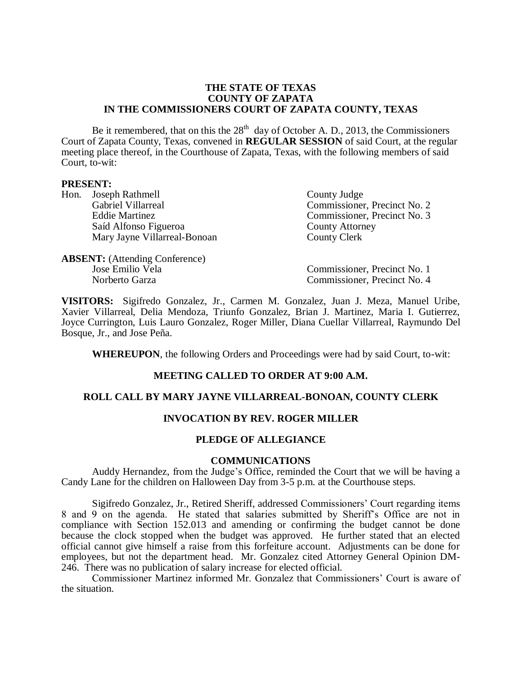#### **THE STATE OF TEXAS COUNTY OF ZAPATA IN THE COMMISSIONERS COURT OF ZAPATA COUNTY, TEXAS**

Be it remembered, that on this the  $28<sup>th</sup>$  day of October A. D., 2013, the Commissioners Court of Zapata County, Texas, convened in **REGULAR SESSION** of said Court, at the regular meeting place thereof, in the Courthouse of Zapata, Texas, with the following members of said Court, to-wit:

#### **PRESENT:**

Hon. Joseph Rathmell County Judge Gabriel Villarreal Commissioner, Precinct No. 2<br>Eddie Martinez Commissioner, Precinct No. 3 Saíd Alfonso Figueroa **County Attorney** Mary Jayne Villarreal-Bonoan County Clerk

Commissioner, Precinct No. 3

**ABSENT:** (Attending Conference)

Jose Emilio Vela Commissioner, Precinct No. 1 Norberto Garza Commissioner, Precinct No. 4

**VISITORS:** Sigifredo Gonzalez, Jr., Carmen M. Gonzalez, Juan J. Meza, Manuel Uribe, Xavier Villarreal, Delia Mendoza, Triunfo Gonzalez, Brian J. Martinez, Maria I. Gutierrez, Joyce Currington, Luis Lauro Gonzalez, Roger Miller, Diana Cuellar Villarreal, Raymundo Del Bosque, Jr., and Jose Peña.

**WHEREUPON**, the following Orders and Proceedings were had by said Court, to-wit:

# **MEETING CALLED TO ORDER AT 9:00 A.M.**

# **ROLL CALL BY MARY JAYNE VILLARREAL-BONOAN, COUNTY CLERK**

# **INVOCATION BY REV. ROGER MILLER**

# **PLEDGE OF ALLEGIANCE**

#### **COMMUNICATIONS**

Auddy Hernandez, from the Judge's Office, reminded the Court that we will be having a Candy Lane for the children on Halloween Day from 3-5 p.m. at the Courthouse steps.

Sigifredo Gonzalez, Jr., Retired Sheriff, addressed Commissioners' Court regarding items 8 and 9 on the agenda. He stated that salaries submitted by Sheriff's Office are not in compliance with Section 152.013 and amending or confirming the budget cannot be done because the clock stopped when the budget was approved. He further stated that an elected official cannot give himself a raise from this forfeiture account. Adjustments can be done for employees, but not the department head. Mr. Gonzalez cited Attorney General Opinion DM-246. There was no publication of salary increase for elected official.

Commissioner Martinez informed Mr. Gonzalez that Commissioners' Court is aware of the situation.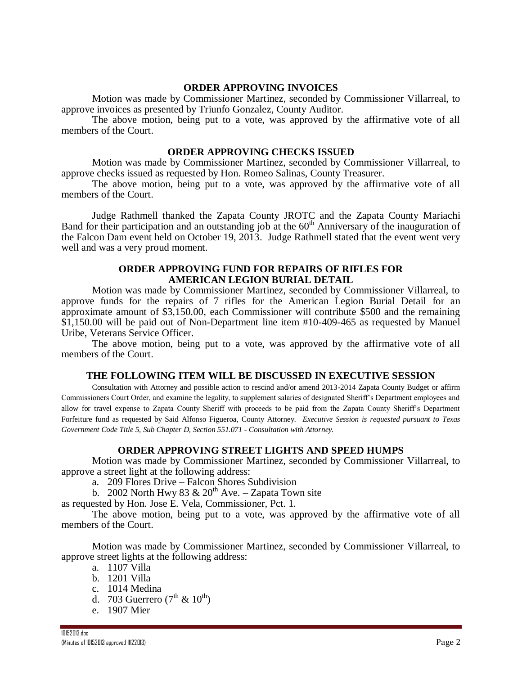### **ORDER APPROVING INVOICES**

Motion was made by Commissioner Martinez, seconded by Commissioner Villarreal, to approve invoices as presented by Triunfo Gonzalez, County Auditor.

The above motion, being put to a vote, was approved by the affirmative vote of all members of the Court.

#### **ORDER APPROVING CHECKS ISSUED**

Motion was made by Commissioner Martinez, seconded by Commissioner Villarreal, to approve checks issued as requested by Hon. Romeo Salinas, County Treasurer.

The above motion, being put to a vote, was approved by the affirmative vote of all members of the Court.

Judge Rathmell thanked the Zapata County JROTC and the Zapata County Mariachi Band for their participation and an outstanding job at the  $60<sup>th</sup>$  Anniversary of the inauguration of the Falcon Dam event held on October 19, 2013. Judge Rathmell stated that the event went very well and was a very proud moment.

### **ORDER APPROVING FUND FOR REPAIRS OF RIFLES FOR AMERICAN LEGION BURIAL DETAIL**

Motion was made by Commissioner Martinez, seconded by Commissioner Villarreal, to approve funds for the repairs of 7 rifles for the American Legion Burial Detail for an approximate amount of \$3,150.00, each Commissioner will contribute \$500 and the remaining \$1,150.00 will be paid out of Non-Department line item #10-409-465 as requested by Manuel Uribe, Veterans Service Officer.

The above motion, being put to a vote, was approved by the affirmative vote of all members of the Court.

### **THE FOLLOWING ITEM WILL BE DISCUSSED IN EXECUTIVE SESSION**

Consultation with Attorney and possible action to rescind and/or amend 2013-2014 Zapata County Budget or affirm Commissioners Court Order, and examine the legality, to supplement salaries of designated Sheriff's Department employees and allow for travel expense to Zapata County Sheriff with proceeds to be paid from the Zapata County Sheriff's Department Forfeiture fund as requested by Said Alfonso Figueroa, County Attorney. *Executive Session is requested pursuant to Texas Government Code Title 5, Sub Chapter D, Section 551.071 - Consultation with Attorney.*

### **ORDER APPROVING STREET LIGHTS AND SPEED HUMPS**

Motion was made by Commissioner Martinez, seconded by Commissioner Villarreal, to approve a street light at the following address:

- a. 209 Flores Drive Falcon Shores Subdivision
- b. 2002 North Hwy 83  $\&$  20<sup>th</sup> Ave. Zapata Town site

as requested by Hon. Jose E. Vela, Commissioner, Pct. 1.

The above motion, being put to a vote, was approved by the affirmative vote of all members of the Court.

Motion was made by Commissioner Martinez, seconded by Commissioner Villarreal, to approve street lights at the following address:

- a. 1107 Villa
- b. 1201 Villa
- c. 1014 Medina
- d. 703 Guerrero ( $7<sup>th</sup>$  &  $10<sup>th</sup>$ )
- e. 1907 Mier